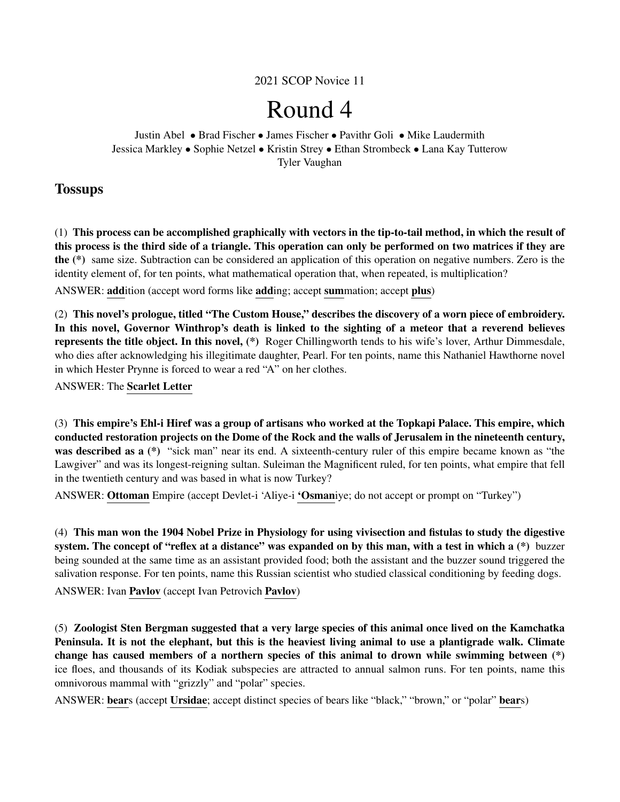2021 SCOP Novice 11

# Round 4

Justin Abel • Brad Fischer • James Fischer • Pavithr Goli • Mike Laudermith Jessica Markley • Sophie Netzel • Kristin Strey • Ethan Strombeck • Lana Kay Tutterow Tyler Vaughan

## **Tossups**

(1) This process can be accomplished graphically with vectors in the tip-to-tail method, in which the result of this process is the third side of a triangle. This operation can only be performed on two matrices if they are the (\*) same size. Subtraction can be considered an application of this operation on negative numbers. Zero is the identity element of, for ten points, what mathematical operation that, when repeated, is multiplication?

ANSWER: addition (accept word forms like adding; accept summation; accept plus)

(2) This novel's prologue, titled "The Custom House," describes the discovery of a worn piece of embroidery. In this novel, Governor Winthrop's death is linked to the sighting of a meteor that a reverend believes represents the title object. In this novel, (\*) Roger Chillingworth tends to his wife's lover, Arthur Dimmesdale, who dies after acknowledging his illegitimate daughter, Pearl. For ten points, name this Nathaniel Hawthorne novel in which Hester Prynne is forced to wear a red "A" on her clothes.

ANSWER: The Scarlet Letter

(3) This empire's Ehl-i Hiref was a group of artisans who worked at the Topkapi Palace. This empire, which conducted restoration projects on the Dome of the Rock and the walls of Jerusalem in the nineteenth century, was described as a  $(*)$  "sick man" near its end. A sixteenth-century ruler of this empire became known as "the Lawgiver" and was its longest-reigning sultan. Suleiman the Magnificent ruled, for ten points, what empire that fell in the twentieth century and was based in what is now Turkey?

ANSWER: Ottoman Empire (accept Devlet-i 'Aliye-i 'Osmaniye; do not accept or prompt on "Turkey")

(4) This man won the 1904 Nobel Prize in Physiology for using vivisection and fistulas to study the digestive system. The concept of "reflex at a distance" was expanded on by this man, with a test in which a (\*) buzzer being sounded at the same time as an assistant provided food; both the assistant and the buzzer sound triggered the salivation response. For ten points, name this Russian scientist who studied classical conditioning by feeding dogs.

ANSWER: Ivan Pavlov (accept Ivan Petrovich Pavlov)

(5) Zoologist Sten Bergman suggested that a very large species of this animal once lived on the Kamchatka Peninsula. It is not the elephant, but this is the heaviest living animal to use a plantigrade walk. Climate change has caused members of a northern species of this animal to drown while swimming between (\*) ice floes, and thousands of its Kodiak subspecies are attracted to annual salmon runs. For ten points, name this omnivorous mammal with "grizzly" and "polar" species.

ANSWER: bears (accept Ursidae; accept distinct species of bears like "black," "brown," or "polar" bears)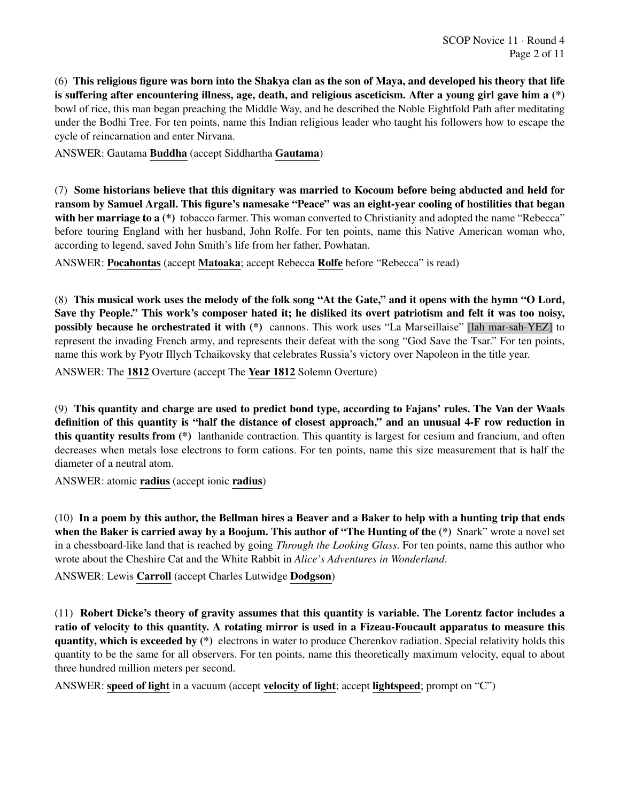(6) This religious figure was born into the Shakya clan as the son of Maya, and developed his theory that life is suffering after encountering illness, age, death, and religious asceticism. After a young girl gave him a (\*) bowl of rice, this man began preaching the Middle Way, and he described the Noble Eightfold Path after meditating under the Bodhi Tree. For ten points, name this Indian religious leader who taught his followers how to escape the cycle of reincarnation and enter Nirvana.

ANSWER: Gautama Buddha (accept Siddhartha Gautama)

(7) Some historians believe that this dignitary was married to Kocoum before being abducted and held for ransom by Samuel Argall. This figure's namesake "Peace" was an eight-year cooling of hostilities that began with her marriage to a  $(*)$  tobacco farmer. This woman converted to Christianity and adopted the name "Rebecca" before touring England with her husband, John Rolfe. For ten points, name this Native American woman who, according to legend, saved John Smith's life from her father, Powhatan.

ANSWER: Pocahontas (accept Matoaka; accept Rebecca Rolfe before "Rebecca" is read)

(8) This musical work uses the melody of the folk song "At the Gate," and it opens with the hymn "O Lord, Save thy People." This work's composer hated it; he disliked its overt patriotism and felt it was too noisy, possibly because he orchestrated it with (\*) cannons. This work uses "La Marseillaise" [lah mar-sah-YEZ] to represent the invading French army, and represents their defeat with the song "God Save the Tsar." For ten points, name this work by Pyotr Illych Tchaikovsky that celebrates Russia's victory over Napoleon in the title year.

ANSWER: The 1812 Overture (accept The Year 1812 Solemn Overture)

(9) This quantity and charge are used to predict bond type, according to Fajans' rules. The Van der Waals definition of this quantity is "half the distance of closest approach," and an unusual 4-F row reduction in this quantity results from (\*) lanthanide contraction. This quantity is largest for cesium and francium, and often decreases when metals lose electrons to form cations. For ten points, name this size measurement that is half the diameter of a neutral atom.

ANSWER: atomic radius (accept ionic radius)

(10) In a poem by this author, the Bellman hires a Beaver and a Baker to help with a hunting trip that ends when the Baker is carried away by a Boojum. This author of "The Hunting of the  $(*)$  Snark" wrote a novel set in a chessboard-like land that is reached by going *Through the Looking Glass*. For ten points, name this author who wrote about the Cheshire Cat and the White Rabbit in *Alice's Adventures in Wonderland*.

ANSWER: Lewis Carroll (accept Charles Lutwidge Dodgson)

(11) Robert Dicke's theory of gravity assumes that this quantity is variable. The Lorentz factor includes a ratio of velocity to this quantity. A rotating mirror is used in a Fizeau-Foucault apparatus to measure this quantity, which is exceeded by (\*) electrons in water to produce Cherenkov radiation. Special relativity holds this quantity to be the same for all observers. For ten points, name this theoretically maximum velocity, equal to about three hundred million meters per second.

ANSWER: speed of light in a vacuum (accept velocity of light; accept lightspeed; prompt on "C")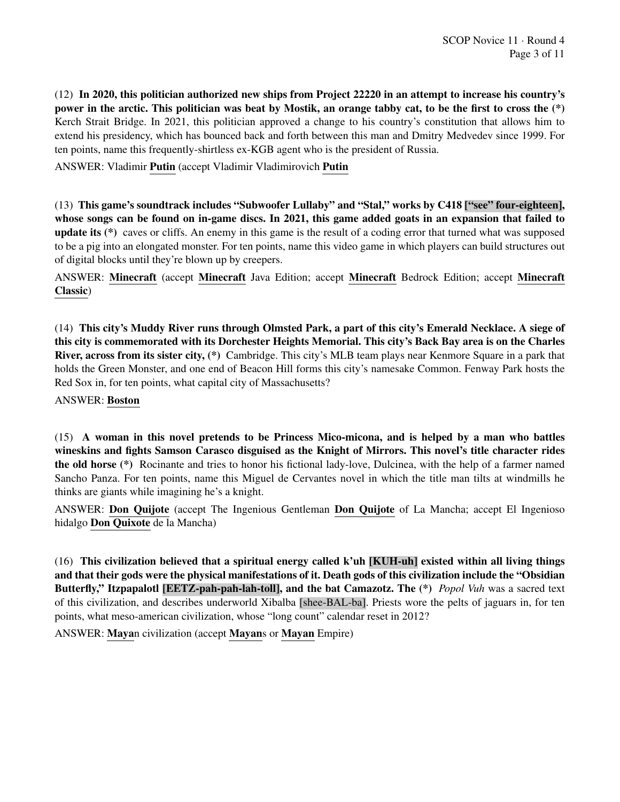(12) In 2020, this politician authorized new ships from Project 22220 in an attempt to increase his country's power in the arctic. This politician was beat by Mostik, an orange tabby cat, to be the first to cross the (\*) Kerch Strait Bridge. In 2021, this politician approved a change to his country's constitution that allows him to extend his presidency, which has bounced back and forth between this man and Dmitry Medvedev since 1999. For ten points, name this frequently-shirtless ex-KGB agent who is the president of Russia.

ANSWER: Vladimir Putin (accept Vladimir Vladimirovich Putin

(13) This game's soundtrack includes "Subwoofer Lullaby" and "Stal," works by C418 ["see" four-eighteen], whose songs can be found on in-game discs. In 2021, this game added goats in an expansion that failed to update its (\*) caves or cliffs. An enemy in this game is the result of a coding error that turned what was supposed to be a pig into an elongated monster. For ten points, name this video game in which players can build structures out of digital blocks until they're blown up by creepers.

ANSWER: Minecraft (accept Minecraft Java Edition; accept Minecraft Bedrock Edition; accept Minecraft Classic)

(14) This city's Muddy River runs through Olmsted Park, a part of this city's Emerald Necklace. A siege of this city is commemorated with its Dorchester Heights Memorial. This city's Back Bay area is on the Charles River, across from its sister city, (\*) Cambridge. This city's MLB team plays near Kenmore Square in a park that holds the Green Monster, and one end of Beacon Hill forms this city's namesake Common. Fenway Park hosts the Red Sox in, for ten points, what capital city of Massachusetts?

ANSWER: Boston

(15) A woman in this novel pretends to be Princess Mico-micona, and is helped by a man who battles wineskins and fights Samson Carasco disguised as the Knight of Mirrors. This novel's title character rides the old horse (\*) Rocinante and tries to honor his fictional lady-love, Dulcinea, with the help of a farmer named Sancho Panza. For ten points, name this Miguel de Cervantes novel in which the title man tilts at windmills he thinks are giants while imagining he's a knight.

ANSWER: Don Quijote (accept The Ingenious Gentleman Don Quijote of La Mancha; accept El Ingenioso hidalgo Don Quixote de la Mancha)

(16) This civilization believed that a spiritual energy called k'uh [KUH-uh] existed within all living things and that their gods were the physical manifestations of it. Death gods of this civilization include the "Obsidian Butterfly," Itzpapalotl [EETZ-pah-pah-lah-toll], and the bat Camazotz. The (\*) *Popol Vuh* was a sacred text of this civilization, and describes underworld Xibalba [shee-BAL-ba]. Priests wore the pelts of jaguars in, for ten points, what meso-american civilization, whose "long count" calendar reset in 2012?

ANSWER: Mayan civilization (accept Mayans or Mayan Empire)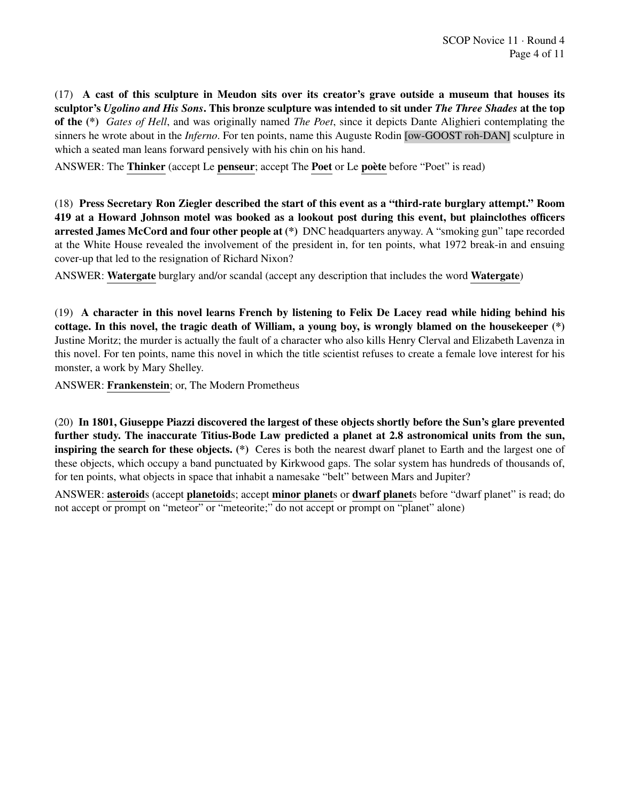(17) A cast of this sculpture in Meudon sits over its creator's grave outside a museum that houses its sculptor's *Ugolino and His Sons*. This bronze sculpture was intended to sit under *The Three Shades* at the top of the (\*) *Gates of Hell*, and was originally named *The Poet*, since it depicts Dante Alighieri contemplating the sinners he wrote about in the *Inferno*. For ten points, name this Auguste Rodin [ow-GOOST roh-DAN] sculpture in which a seated man leans forward pensively with his chin on his hand.

ANSWER: The Thinker (accept Le penseur; accept The Poet or Le poète before "Poet" is read)

(18) Press Secretary Ron Ziegler described the start of this event as a "third-rate burglary attempt." Room 419 at a Howard Johnson motel was booked as a lookout post during this event, but plainclothes officers arrested James McCord and four other people at (\*) DNC headquarters anyway. A "smoking gun" tape recorded at the White House revealed the involvement of the president in, for ten points, what 1972 break-in and ensuing cover-up that led to the resignation of Richard Nixon?

ANSWER: Watergate burglary and/or scandal (accept any description that includes the word Watergate)

(19) A character in this novel learns French by listening to Felix De Lacey read while hiding behind his cottage. In this novel, the tragic death of William, a young boy, is wrongly blamed on the housekeeper (\*) Justine Moritz; the murder is actually the fault of a character who also kills Henry Clerval and Elizabeth Lavenza in this novel. For ten points, name this novel in which the title scientist refuses to create a female love interest for his monster, a work by Mary Shelley.

ANSWER: Frankenstein; or, The Modern Prometheus

(20) In 1801, Giuseppe Piazzi discovered the largest of these objects shortly before the Sun's glare prevented further study. The inaccurate Titius-Bode Law predicted a planet at 2.8 astronomical units from the sun, inspiring the search for these objects. (\*) Ceres is both the nearest dwarf planet to Earth and the largest one of these objects, which occupy a band punctuated by Kirkwood gaps. The solar system has hundreds of thousands of, for ten points, what objects in space that inhabit a namesake "belt" between Mars and Jupiter?

ANSWER: asteroids (accept planetoids; accept minor planets or dwarf planets before "dwarf planet" is read; do not accept or prompt on "meteor" or "meteorite;" do not accept or prompt on "planet" alone)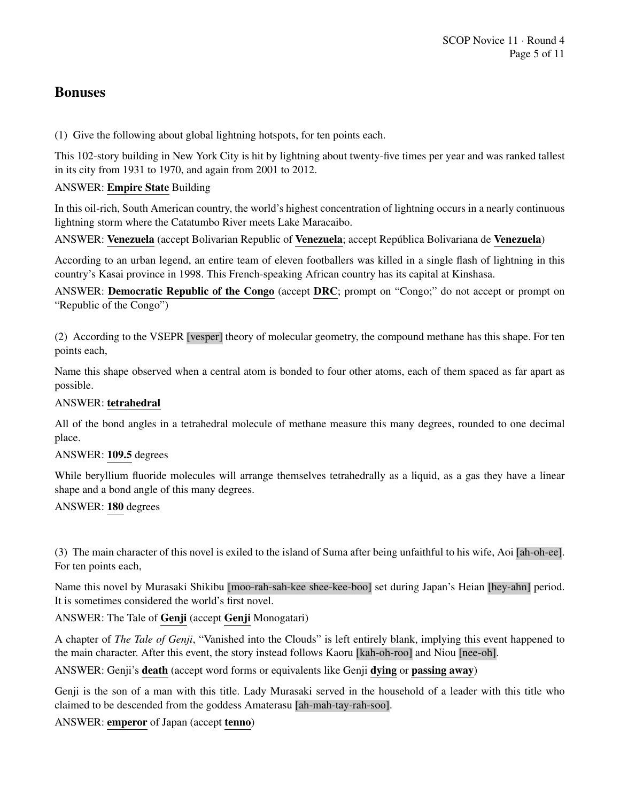## Bonuses

(1) Give the following about global lightning hotspots, for ten points each.

This 102-story building in New York City is hit by lightning about twenty-five times per year and was ranked tallest in its city from 1931 to 1970, and again from 2001 to 2012.

## ANSWER: Empire State Building

In this oil-rich, South American country, the world's highest concentration of lightning occurs in a nearly continuous lightning storm where the Catatumbo River meets Lake Maracaibo.

ANSWER: Venezuela (accept Bolivarian Republic of Venezuela; accept República Bolivariana de Venezuela)

According to an urban legend, an entire team of eleven footballers was killed in a single flash of lightning in this country's Kasai province in 1998. This French-speaking African country has its capital at Kinshasa.

ANSWER: Democratic Republic of the Congo (accept DRC; prompt on "Congo;" do not accept or prompt on "Republic of the Congo")

(2) According to the VSEPR [vesper] theory of molecular geometry, the compound methane has this shape. For ten points each,

Name this shape observed when a central atom is bonded to four other atoms, each of them spaced as far apart as possible.

## ANSWER: tetrahedral

All of the bond angles in a tetrahedral molecule of methane measure this many degrees, rounded to one decimal place.

#### ANSWER: 109.5 degrees

While beryllium fluoride molecules will arrange themselves tetrahedrally as a liquid, as a gas they have a linear shape and a bond angle of this many degrees.

## ANSWER: 180 degrees

(3) The main character of this novel is exiled to the island of Suma after being unfaithful to his wife, Aoi [ah-oh-ee]. For ten points each,

Name this novel by Murasaki Shikibu [moo-rah-sah-kee shee-kee-boo] set during Japan's Heian [hey-ahn] period. It is sometimes considered the world's first novel.

ANSWER: The Tale of Genji (accept Genji Monogatari)

A chapter of *The Tale of Genji*, "Vanished into the Clouds" is left entirely blank, implying this event happened to the main character. After this event, the story instead follows Kaoru [kah-oh-roo] and Niou [nee-oh].

ANSWER: Genji's death (accept word forms or equivalents like Genji dying or passing away)

Genji is the son of a man with this title. Lady Murasaki served in the household of a leader with this title who claimed to be descended from the goddess Amaterasu [ah-mah-tay-rah-soo].

ANSWER: emperor of Japan (accept tenno)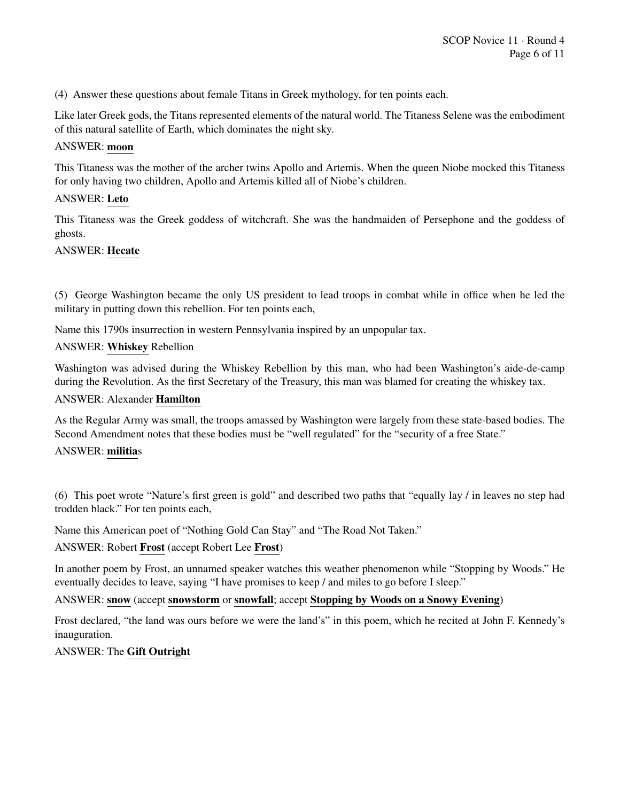(4) Answer these questions about female Titans in Greek mythology, for ten points each.

Like later Greek gods, the Titans represented elements of the natural world. The Titaness Selene was the embodiment of this natural satellite of Earth, which dominates the night sky.

#### ANSWER: moon

This Titaness was the mother of the archer twins Apollo and Artemis. When the queen Niobe mocked this Titaness for only having two children, Apollo and Artemis killed all of Niobe's children.

#### ANSWER: Leto

This Titaness was the Greek goddess of witchcraft. She was the handmaiden of Persephone and the goddess of ghosts.

#### ANSWER: Hecate

(5) George Washington became the only US president to lead troops in combat while in office when he led the military in putting down this rebellion. For ten points each,

Name this 1790s insurrection in western Pennsylvania inspired by an unpopular tax.

#### ANSWER: Whiskey Rebellion

Washington was advised during the Whiskey Rebellion by this man, who had been Washington's aide-de-camp during the Revolution. As the first Secretary of the Treasury, this man was blamed for creating the whiskey tax.

#### ANSWER: Alexander Hamilton

As the Regular Army was small, the troops amassed by Washington were largely from these state-based bodies. The Second Amendment notes that these bodies must be "well regulated" for the "security of a free State."

#### ANSWER: militias

(6) This poet wrote "Nature's first green is gold" and described two paths that "equally lay / in leaves no step had trodden black." For ten points each,

Name this American poet of "Nothing Gold Can Stay" and "The Road Not Taken."

## ANSWER: Robert Frost (accept Robert Lee Frost)

In another poem by Frost, an unnamed speaker watches this weather phenomenon while "Stopping by Woods." He eventually decides to leave, saying "I have promises to keep / and miles to go before I sleep."

#### ANSWER: snow (accept snowstorm or snowfall; accept Stopping by Woods on a Snowy Evening)

Frost declared, "the land was ours before we were the land's" in this poem, which he recited at John F. Kennedy's inauguration.

#### ANSWER: The Gift Outright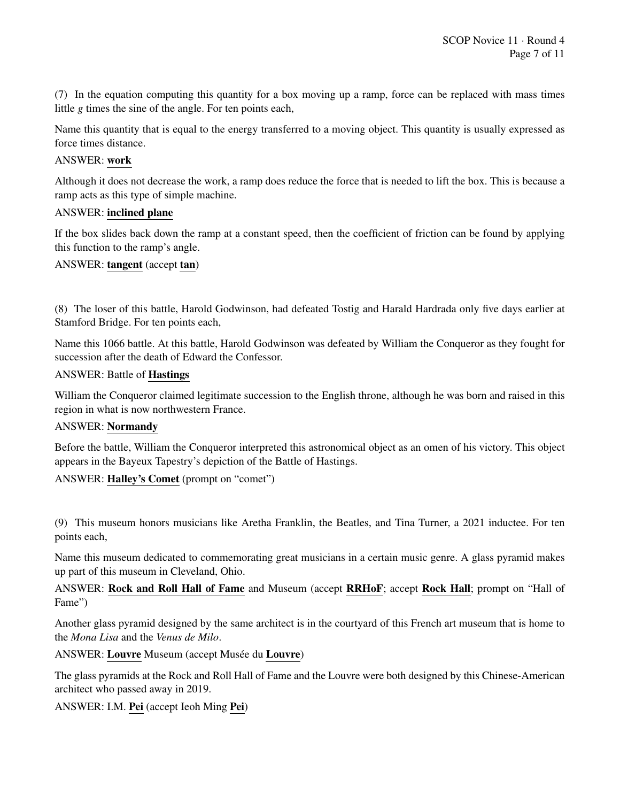(7) In the equation computing this quantity for a box moving up a ramp, force can be replaced with mass times little *g* times the sine of the angle. For ten points each,

Name this quantity that is equal to the energy transferred to a moving object. This quantity is usually expressed as force times distance.

#### ANSWER: work

Although it does not decrease the work, a ramp does reduce the force that is needed to lift the box. This is because a ramp acts as this type of simple machine.

## ANSWER: inclined plane

If the box slides back down the ramp at a constant speed, then the coefficient of friction can be found by applying this function to the ramp's angle.

ANSWER: tangent (accept tan)

(8) The loser of this battle, Harold Godwinson, had defeated Tostig and Harald Hardrada only five days earlier at Stamford Bridge. For ten points each,

Name this 1066 battle. At this battle, Harold Godwinson was defeated by William the Conqueror as they fought for succession after the death of Edward the Confessor.

#### ANSWER: Battle of Hastings

William the Conqueror claimed legitimate succession to the English throne, although he was born and raised in this region in what is now northwestern France.

## ANSWER: Normandy

Before the battle, William the Conqueror interpreted this astronomical object as an omen of his victory. This object appears in the Bayeux Tapestry's depiction of the Battle of Hastings.

ANSWER: Halley's Comet (prompt on "comet")

(9) This museum honors musicians like Aretha Franklin, the Beatles, and Tina Turner, a 2021 inductee. For ten points each,

Name this museum dedicated to commemorating great musicians in a certain music genre. A glass pyramid makes up part of this museum in Cleveland, Ohio.

ANSWER: Rock and Roll Hall of Fame and Museum (accept RRHoF; accept Rock Hall; prompt on "Hall of Fame")

Another glass pyramid designed by the same architect is in the courtyard of this French art museum that is home to the *Mona Lisa* and the *Venus de Milo*.

ANSWER: Louvre Museum (accept Musée du Louvre)

The glass pyramids at the Rock and Roll Hall of Fame and the Louvre were both designed by this Chinese-American architect who passed away in 2019.

ANSWER: I.M. Pei (accept Ieoh Ming Pei)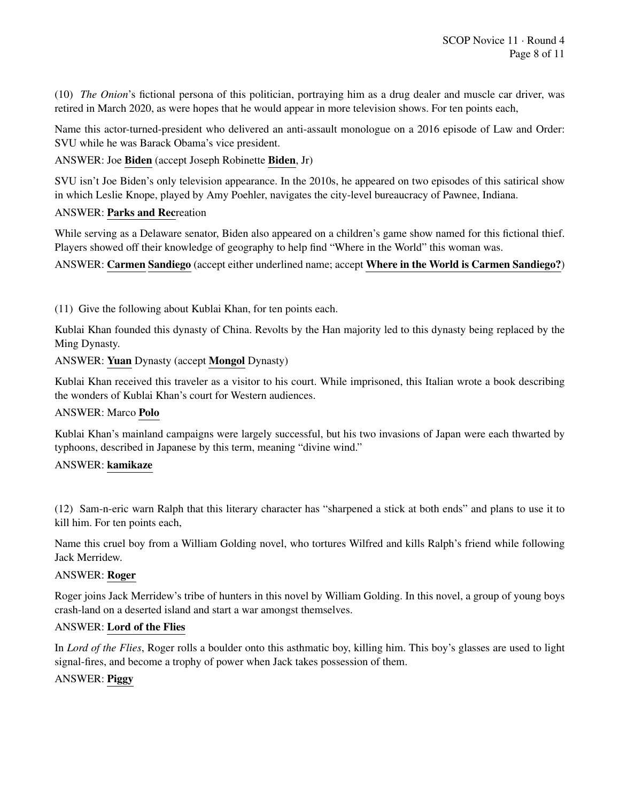(10) *The Onion*'s fictional persona of this politician, portraying him as a drug dealer and muscle car driver, was retired in March 2020, as were hopes that he would appear in more television shows. For ten points each,

Name this actor-turned-president who delivered an anti-assault monologue on a 2016 episode of Law and Order: SVU while he was Barack Obama's vice president.

## ANSWER: Joe Biden (accept Joseph Robinette Biden, Jr)

SVU isn't Joe Biden's only television appearance. In the 2010s, he appeared on two episodes of this satirical show in which Leslie Knope, played by Amy Poehler, navigates the city-level bureaucracy of Pawnee, Indiana.

#### ANSWER: Parks and Recreation

While serving as a Delaware senator, Biden also appeared on a children's game show named for this fictional thief. Players showed off their knowledge of geography to help find "Where in the World" this woman was.

ANSWER: Carmen Sandiego (accept either underlined name; accept Where in the World is Carmen Sandiego?)

(11) Give the following about Kublai Khan, for ten points each.

Kublai Khan founded this dynasty of China. Revolts by the Han majority led to this dynasty being replaced by the Ming Dynasty.

#### ANSWER: Yuan Dynasty (accept Mongol Dynasty)

Kublai Khan received this traveler as a visitor to his court. While imprisoned, this Italian wrote a book describing the wonders of Kublai Khan's court for Western audiences.

#### ANSWER: Marco Polo

Kublai Khan's mainland campaigns were largely successful, but his two invasions of Japan were each thwarted by typhoons, described in Japanese by this term, meaning "divine wind."

#### ANSWER: kamikaze

(12) Sam-n-eric warn Ralph that this literary character has "sharpened a stick at both ends" and plans to use it to kill him. For ten points each,

Name this cruel boy from a William Golding novel, who tortures Wilfred and kills Ralph's friend while following Jack Merridew.

#### ANSWER: Roger

Roger joins Jack Merridew's tribe of hunters in this novel by William Golding. In this novel, a group of young boys crash-land on a deserted island and start a war amongst themselves.

#### ANSWER: Lord of the Flies

In *Lord of the Flies*, Roger rolls a boulder onto this asthmatic boy, killing him. This boy's glasses are used to light signal-fires, and become a trophy of power when Jack takes possession of them.

#### ANSWER: Piggy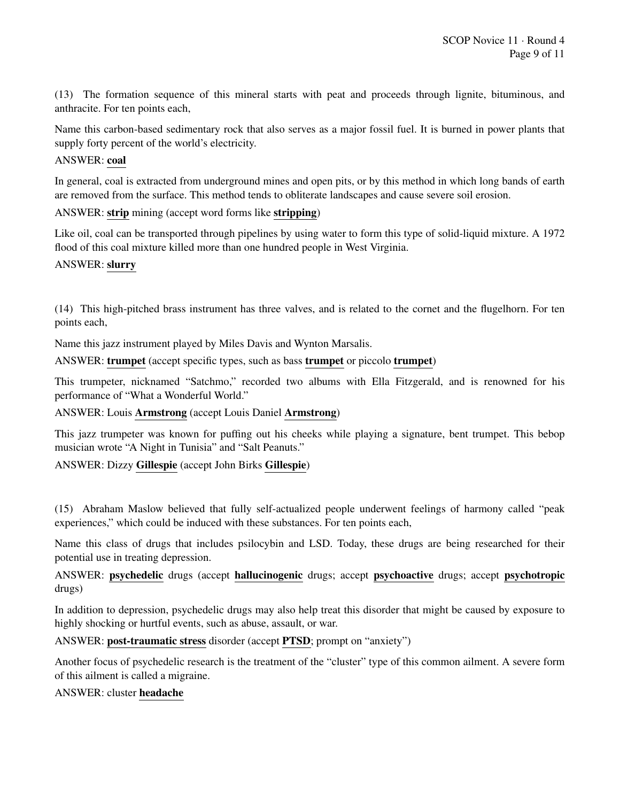(13) The formation sequence of this mineral starts with peat and proceeds through lignite, bituminous, and anthracite. For ten points each,

Name this carbon-based sedimentary rock that also serves as a major fossil fuel. It is burned in power plants that supply forty percent of the world's electricity.

#### ANSWER: coal

In general, coal is extracted from underground mines and open pits, or by this method in which long bands of earth are removed from the surface. This method tends to obliterate landscapes and cause severe soil erosion.

## ANSWER: strip mining (accept word forms like stripping)

Like oil, coal can be transported through pipelines by using water to form this type of solid-liquid mixture. A 1972 flood of this coal mixture killed more than one hundred people in West Virginia.

#### ANSWER: slurry

(14) This high-pitched brass instrument has three valves, and is related to the cornet and the flugelhorn. For ten points each,

Name this jazz instrument played by Miles Davis and Wynton Marsalis.

ANSWER: trumpet (accept specific types, such as bass trumpet or piccolo trumpet)

This trumpeter, nicknamed "Satchmo," recorded two albums with Ella Fitzgerald, and is renowned for his performance of "What a Wonderful World."

ANSWER: Louis Armstrong (accept Louis Daniel Armstrong)

This jazz trumpeter was known for puffing out his cheeks while playing a signature, bent trumpet. This bebop musician wrote "A Night in Tunisia" and "Salt Peanuts."

ANSWER: Dizzy Gillespie (accept John Birks Gillespie)

(15) Abraham Maslow believed that fully self-actualized people underwent feelings of harmony called "peak experiences," which could be induced with these substances. For ten points each,

Name this class of drugs that includes psilocybin and LSD. Today, these drugs are being researched for their potential use in treating depression.

#### ANSWER: psychedelic drugs (accept hallucinogenic drugs; accept psychoactive drugs; accept psychotropic drugs)

In addition to depression, psychedelic drugs may also help treat this disorder that might be caused by exposure to highly shocking or hurtful events, such as abuse, assault, or war.

ANSWER: post-traumatic stress disorder (accept PTSD; prompt on "anxiety")

Another focus of psychedelic research is the treatment of the "cluster" type of this common ailment. A severe form of this ailment is called a migraine.

#### ANSWER: cluster headache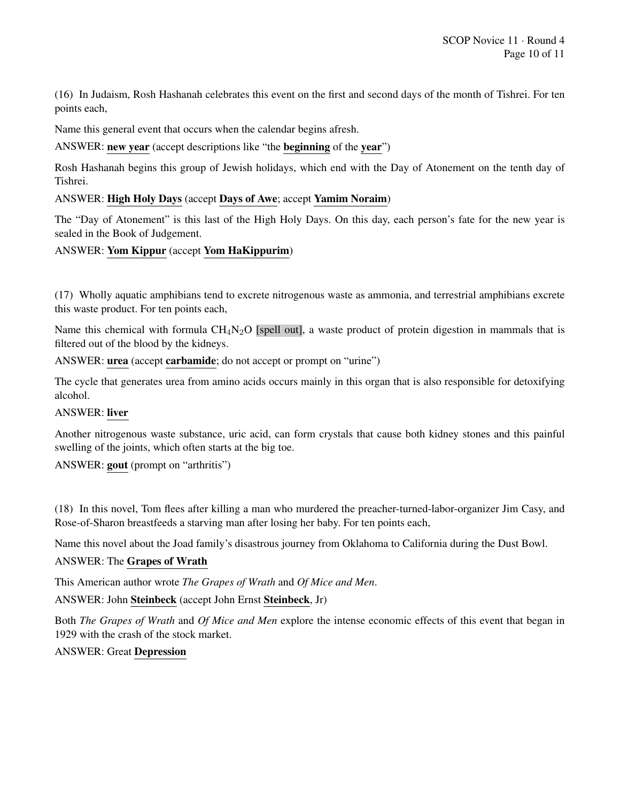(16) In Judaism, Rosh Hashanah celebrates this event on the first and second days of the month of Tishrei. For ten points each,

Name this general event that occurs when the calendar begins afresh.

ANSWER: new year (accept descriptions like "the beginning of the year")

Rosh Hashanah begins this group of Jewish holidays, which end with the Day of Atonement on the tenth day of Tishrei.

#### ANSWER: High Holy Days (accept Days of Awe; accept Yamim Noraim)

The "Day of Atonement" is this last of the High Holy Days. On this day, each person's fate for the new year is sealed in the Book of Judgement.

#### ANSWER: Yom Kippur (accept Yom HaKippurim)

(17) Wholly aquatic amphibians tend to excrete nitrogenous waste as ammonia, and terrestrial amphibians excrete this waste product. For ten points each,

Name this chemical with formula  $CH_4N_2O$  [spell out], a waste product of protein digestion in mammals that is filtered out of the blood by the kidneys.

ANSWER: urea (accept carbamide; do not accept or prompt on "urine")

The cycle that generates urea from amino acids occurs mainly in this organ that is also responsible for detoxifying alcohol.

## ANSWER: liver

Another nitrogenous waste substance, uric acid, can form crystals that cause both kidney stones and this painful swelling of the joints, which often starts at the big toe.

ANSWER: gout (prompt on "arthritis")

(18) In this novel, Tom flees after killing a man who murdered the preacher-turned-labor-organizer Jim Casy, and Rose-of-Sharon breastfeeds a starving man after losing her baby. For ten points each,

Name this novel about the Joad family's disastrous journey from Oklahoma to California during the Dust Bowl.

#### ANSWER: The Grapes of Wrath

This American author wrote *The Grapes of Wrath* and *Of Mice and Men*.

ANSWER: John Steinbeck (accept John Ernst Steinbeck, Jr)

Both *The Grapes of Wrath* and *Of Mice and Men* explore the intense economic effects of this event that began in 1929 with the crash of the stock market.

#### ANSWER: Great Depression